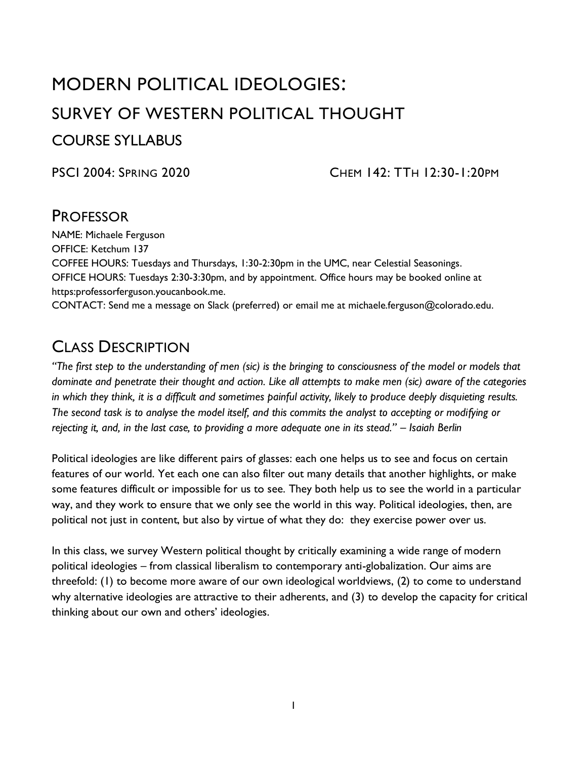# MODERN POLITICAL IDEOLOGIES: SURVEY OF WESTERN POLITICAL THOUGHT COURSE SYLLABUS

PSCI 2004: SPRING 2020 CHEM 142: TTH 12:30-1:20PM

### **PROFESSOR**

NAME: Michaele Ferguson OFFICE: Ketchum 137 COFFEE HOURS: Tuesdays and Thursdays, 1:30-2:30pm in the UMC, near Celestial Seasonings. OFFICE HOURS: Tuesdays 2:30-3:30pm, and by appointment. Office hours may be booked online at https:professorferguson.youcanbook.me.

CONTACT: Send me a message on Slack (preferred) or email me at michaele.ferguson@colorado.edu.

# CLASS DESCRIPTION

*"The first step to the understanding of men (sic) is the bringing to consciousness of the model or models that dominate and penetrate their thought and action. Like all attempts to make men (sic) aware of the categories in which they think, it is a difficult and sometimes painful activity, likely to produce deeply disquieting results. The second task is to analyse the model itself, and this commits the analyst to accepting or modifying or rejecting it, and, in the last case, to providing a more adequate one in its stead." – Isaiah Berlin*

Political ideologies are like different pairs of glasses: each one helps us to see and focus on certain features of our world. Yet each one can also filter out many details that another highlights, or make some features difficult or impossible for us to see. They both help us to see the world in a particular way, and they work to ensure that we only see the world in this way. Political ideologies, then, are political not just in content, but also by virtue of what they do: they exercise power over us.

In this class, we survey Western political thought by critically examining a wide range of modern political ideologies – from classical liberalism to contemporary anti-globalization. Our aims are threefold: (1) to become more aware of our own ideological worldviews, (2) to come to understand why alternative ideologies are attractive to their adherents, and (3) to develop the capacity for critical thinking about our own and others' ideologies.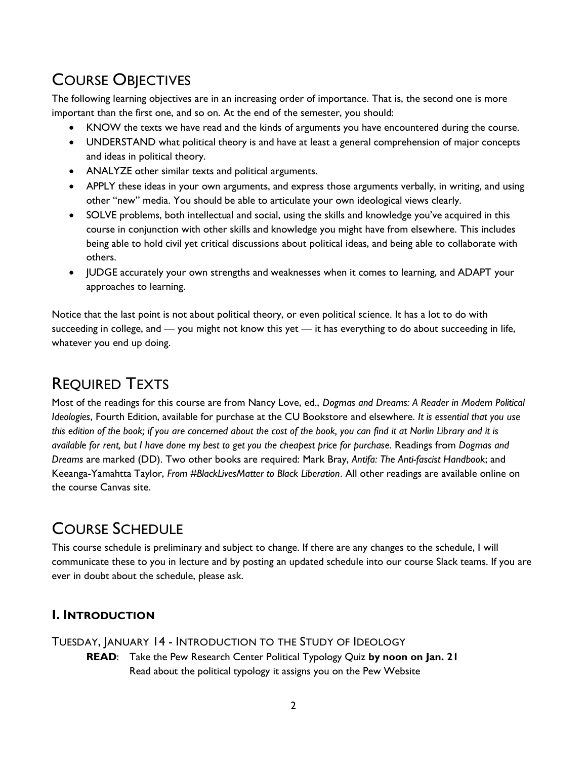# COURSE OBJECTIVES

The following learning objectives are in an increasing order of importance. That is, the second one is more important than the first one, and so on. At the end of the semester, you should:

- KNOW the texts we have read and the kinds of arguments you have encountered during the course.
- UNDERSTAND what political theory is and have at least a general comprehension of major concepts and ideas in political theory.
- ANALYZE other similar texts and political arguments.
- APPLY these ideas in your own arguments, and express those arguments verbally, in writing, and using other "new" media. You should be able to articulate your own ideological views clearly.
- SOLVE problems, both intellectual and social, using the skills and knowledge you've acquired in this course in conjunction with other skills and knowledge you might have from elsewhere. This includes being able to hold civil yet critical discussions about political ideas, and being able to collaborate with others.
- JUDGE accurately your own strengths and weaknesses when it comes to learning, and ADAPT your approaches to learning.

Notice that the last point is not about political theory, or even political science. It has a lot to do with succeeding in college, and — you might not know this yet — it has everything to do about succeeding in life, whatever you end up doing.

# REQUIRED TEXTS

Most of the readings for this course are from Nancy Love, ed., *Dogmas and Dreams: A Reader in Modern Political Ideologies*, Fourth Edition, available for purchase at the CU Bookstore and elsewhere. *It is essential that you use this edition of the book; if you are concerned about the cost of the book, you can find it at Norlin Library and it is available for rent, but I have done my best to get you the cheapest price for purchase.* Readings from *Dogmas and Dreams* are marked (DD). Two other books are required: Mark Bray, *Antifa: The Anti-fascist Handbook*; and Keeanga-Yamahtta Taylor, *From #BlackLivesMatter to Black Liberation*. All other readings are available online on the course Canvas site.

# COURSE SCHEDULE

This course schedule is preliminary and subject to change. If there are any changes to the schedule, I will communicate these to you in lecture and by posting an updated schedule into our course Slack teams. If you are ever in doubt about the schedule, please ask.

### **I. INTRODUCTION**

### TUESDAY, JANUARY 14 - INTRODUCTION TO THE STUDY OF IDEOLOGY

**READ**: Take the Pew Research Center Political Typology Quiz **by noon on Jan. 21** Read about the political typology it assigns you on the Pew Website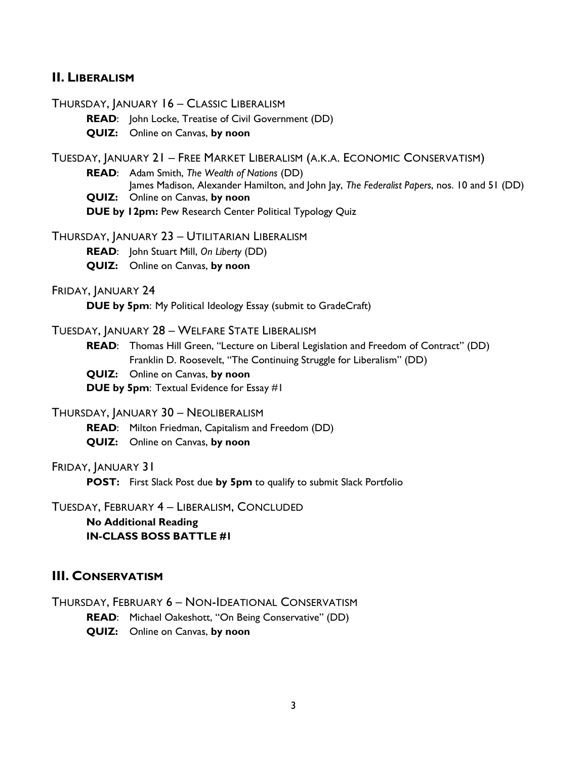#### **II. LIBERALISM**

THURSDAY, JANUARY 16 – CLASSIC LIBERALISM

**READ**: John Locke, Treatise of Civil Government (DD)

**QUIZ:** Online on Canvas, **by noon**

TUESDAY, JANUARY 21 – FREE MARKET LIBERALISM (A.K.A. ECONOMIC CONSERVATISM)

**READ**: Adam Smith, *The Wealth of Nations* (DD)

James Madison, Alexander Hamilton, and John Jay, *The Federalist Papers*, nos. 10 and 51 (DD)

**QUIZ:** Online on Canvas, **by noon**

**DUE by 12pm:** Pew Research Center Political Typology Quiz

THURSDAY, JANUARY 23 – UTILITARIAN LIBERALISM

**READ**: John Stuart Mill, *On Liberty* (DD)

**QUIZ:** Online on Canvas, **by noon**

FRIDAY, JANUARY 24

**DUE by 5pm**: My Political Ideology Essay (submit to GradeCraft)

#### TUESDAY, JANUARY 28 – WELFARE STATE LIBERALISM

**READ**: Thomas Hill Green, "Lecture on Liberal Legislation and Freedom of Contract" (DD) Franklin D. Roosevelt, "The Continuing Struggle for Liberalism" (DD)

**QUIZ:** Online on Canvas, **by noon**

**DUE by 5pm**: Textual Evidence for Essay #1

THURSDAY, JANUARY 30 – NEOLIBERALISM

**READ**: Milton Friedman, Capitalism and Freedom (DD)

**QUIZ:** Online on Canvas, **by noon**

FRIDAY, JANUARY 31

**POST:** First Slack Post due **by 5pm** to qualify to submit Slack Portfolio

TUESDAY, FEBRUARY 4 – LIBERALISM, CONCLUDED

**No Additional Reading IN-CLASS BOSS BATTLE #1**

#### **III. CONSERVATISM**

THURSDAY, FEBRUARY 6 – NON-IDEATIONAL CONSERVATISM **READ**: Michael Oakeshott, "On Being Conservative" (DD) **QUIZ:** Online on Canvas, **by noon**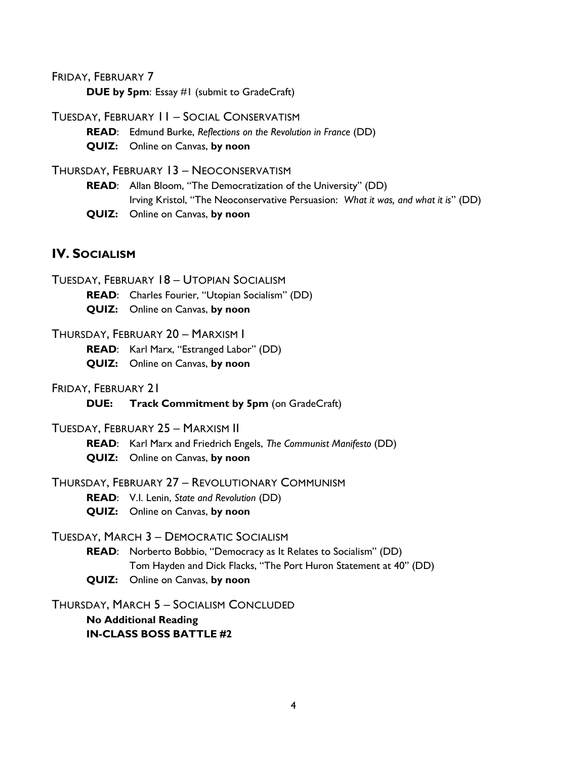FRIDAY, FEBRUARY 7

**DUE by 5pm**: Essay #1 (submit to GradeCraft)

TUESDAY, FEBRUARY 11 – SOCIAL CONSERVATISM

**READ**: Edmund Burke, *Reflections on the Revolution in France* (DD)

**QUIZ:** Online on Canvas, **by noon**

THURSDAY, FEBRUARY 13 – NEOCONSERVATISM

**READ**: Allan Bloom, "The Democratization of the University" (DD) Irving Kristol, "The Neoconservative Persuasion: *What it was, and what it is*" (DD) **QUIZ:** Online on Canvas, **by noon**

### **IV.** SOCIALISM

TUESDAY, FEBRUARY 18 – UTOPIAN SOCIALISM

**READ**: Charles Fourier, "Utopian Socialism" (DD)

**QUIZ:** Online on Canvas, **by noon**

#### THURSDAY, FEBRUARY 20 – MARXISM I

**READ**: Karl Marx, "Estranged Labor" (DD)

**QUIZ:** Online on Canvas, **by noon**

FRIDAY, FEBRUARY 21

**DUE: Track Commitment by 5pm** (on GradeCraft)

#### TUESDAY, FEBRUARY 25 – MARXISM II

**READ**: Karl Marx and Friedrich Engels, *The Communist Manifesto* (DD) **QUIZ:** Online on Canvas, **by noon**

#### THURSDAY, FEBRUARY 27 – REVOLUTIONARY COMMUNISM

**READ**: V.I. Lenin, *State and Revolution* (DD)

**QUIZ:** Online on Canvas, **by noon**

#### TUESDAY, MARCH 3 – DEMOCRATIC SOCIALISM

- **READ**: Norberto Bobbio, "Democracy as It Relates to Socialism" (DD) Tom Hayden and Dick Flacks, "The Port Huron Statement at 40" (DD)
- **QUIZ:** Online on Canvas, **by noon**

THURSDAY, MARCH 5 – SOCIALISM CONCLUDED

**No Additional Reading IN-CLASS BOSS BATTLE #2**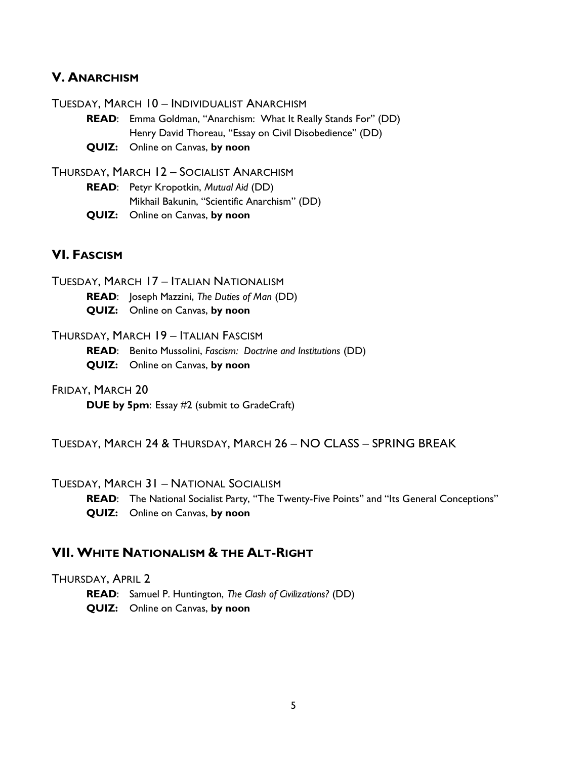#### **V. ANARCHISM**

TUESDAY, MARCH 10 – INDIVIDUALIST ANARCHISM

- **READ**: Emma Goldman, "Anarchism: What It Really Stands For" (DD) Henry David Thoreau, "Essay on Civil Disobedience" (DD)
- **QUIZ:** Online on Canvas, **by noon**

THURSDAY, MARCH 12 – SOCIALIST ANARCHISM

**READ**: Petyr Kropotkin, *Mutual Aid* (DD) Mikhail Bakunin, "Scientific Anarchism" (DD) **QUIZ:** Online on Canvas, **by noon**

#### **VI. FASCISM**

TUESDAY, MARCH 17 – ITALIAN NATIONALISM

**READ**: Joseph Mazzini, *The Duties of Man* (DD)

**QUIZ:** Online on Canvas, **by noon**

#### THURSDAY, MARCH 19 – ITALIAN FASCISM

**READ**: Benito Mussolini, *Fascism: Doctrine and Institutions* (DD)

- **QUIZ:** Online on Canvas, **by noon**
- FRIDAY, MARCH 20

**DUE by 5pm**: Essay #2 (submit to GradeCraft)

TUESDAY, MARCH 24 & THURSDAY, MARCH 26 – NO CLASS – SPRING BREAK

#### TUESDAY, MARCH 31 – NATIONAL SOCIALISM

READ: The National Socialist Party, "The Twenty-Five Points" and "Its General Conceptions" **QUIZ:** Online on Canvas, **by noon**

### **VII. WHITE NATIONALISM & THE ALT-RIGHT**

#### THURSDAY, APRIL 2

**READ**: Samuel P. Huntington, *The Clash of Civilizations?* (DD) **QUIZ:** Online on Canvas, **by noon**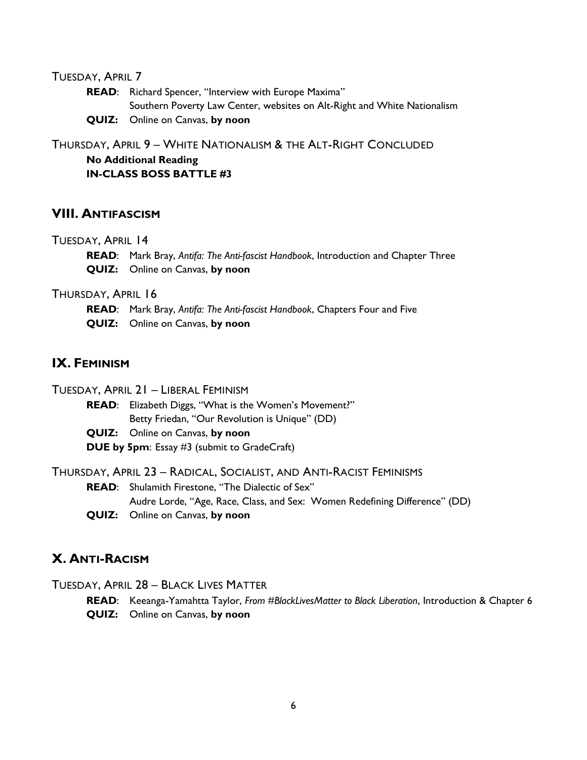#### TUESDAY, APRIL 7

**READ**: Richard Spencer, "Interview with Europe Maxima" Southern Poverty Law Center, websites on Alt-Right and White Nationalism **QUIZ:** Online on Canvas, **by noon**

THURSDAY, APRIL 9 – WHITE NATIONALISM & THE ALT-RIGHT CONCLUDED

**No Additional Reading IN-CLASS BOSS BATTLE #3**

#### **VIII. ANTIFASCISM**

#### TUESDAY, APRIL 14

**READ**: Mark Bray, *Antifa: The Anti-fascist Handbook*, Introduction and Chapter Three **QUIZ:** Online on Canvas, **by noon**

THURSDAY, APRIL 16

**READ**: Mark Bray, *Antifa: The Anti-fascist Handbook*, Chapters Four and Five **QUIZ:** Online on Canvas, **by noon**

### **IX. FEMINISM**

TUESDAY, APRIL 21 – LIBERAL FEMINISM

**READ**: Elizabeth Diggs, "What is the Women's Movement?" Betty Friedan, "Our Revolution is Unique" (DD)

**QUIZ:** Online on Canvas, **by noon DUE by 5pm**: Essay #3 (submit to GradeCraft)

THURSDAY, APRIL 23 – RADICAL, SOCIALIST, AND ANTI-RACIST FEMINISMS

**READ**: Shulamith Firestone, "The Dialectic of Sex" Audre Lorde, "Age, Race, Class, and Sex: Women Redefining Difference" (DD)

**QUIZ:** Online on Canvas, **by noon**

#### **X. ANTI-RACISM**

TUESDAY, APRIL 28 – BLACK LIVES MATTER

**READ**: Keeanga-Yamahtta Taylor, *From #BlackLivesMatter to Black Liberation*, Introduction & Chapter 6

**QUIZ:** Online on Canvas, **by noon**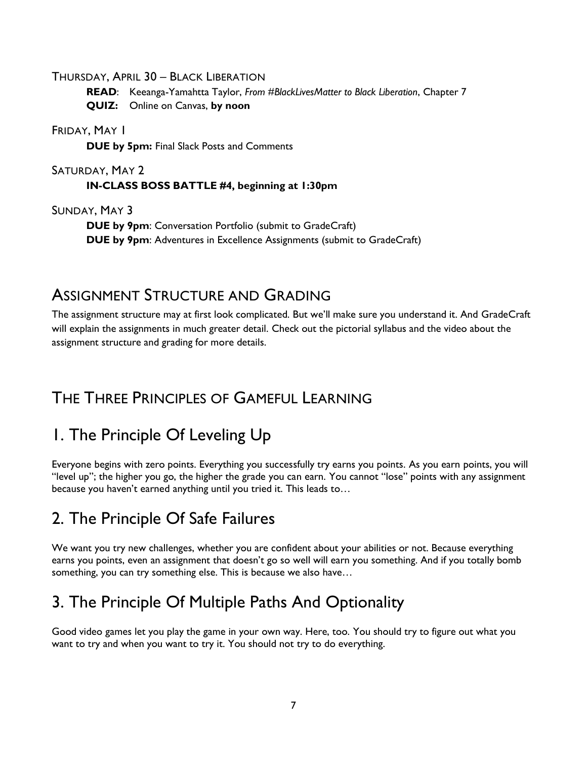THURSDAY, APRIL 30 – BLACK LIBERATION

**READ**: Keeanga-Yamahtta Taylor, *From #BlackLivesMatter to Black Liberation*, Chapter 7 **QUIZ:** Online on Canvas, **by noon**

FRIDAY, MAY I

**DUE by 5pm:** Final Slack Posts and Comments

#### SATURDAY, MAY 2 **IN-CLASS BOSS BATTLE #4, beginning at 1:30pm**

SUNDAY, MAY 3

**DUE by 9pm**: Conversation Portfolio (submit to GradeCraft) **DUE by 9pm**: Adventures in Excellence Assignments (submit to GradeCraft)

## ASSIGNMENT STRUCTURE AND GRADING

The assignment structure may at first look complicated. But we'll make sure you understand it. And GradeCraft will explain the assignments in much greater detail. Check out the pictorial syllabus and the video about the assignment structure and grading for more details.

## THE THREE PRINCIPLES OF GAMEFUL LEARNING

# 1. The Principle Of Leveling Up

Everyone begins with zero points. Everything you successfully try earns you points. As you earn points, you will "level up"; the higher you go, the higher the grade you can earn. You cannot "lose" points with any assignment because you haven't earned anything until you tried it. This leads to…

# 2. The Principle Of Safe Failures

We want you try new challenges, whether you are confident about your abilities or not. Because everything earns you points, even an assignment that doesn't go so well will earn you something. And if you totally bomb something, you can try something else. This is because we also have…

# 3. The Principle Of Multiple Paths And Optionality

Good video games let you play the game in your own way. Here, too. You should try to figure out what you want to try and when you want to try it. You should not try to do everything.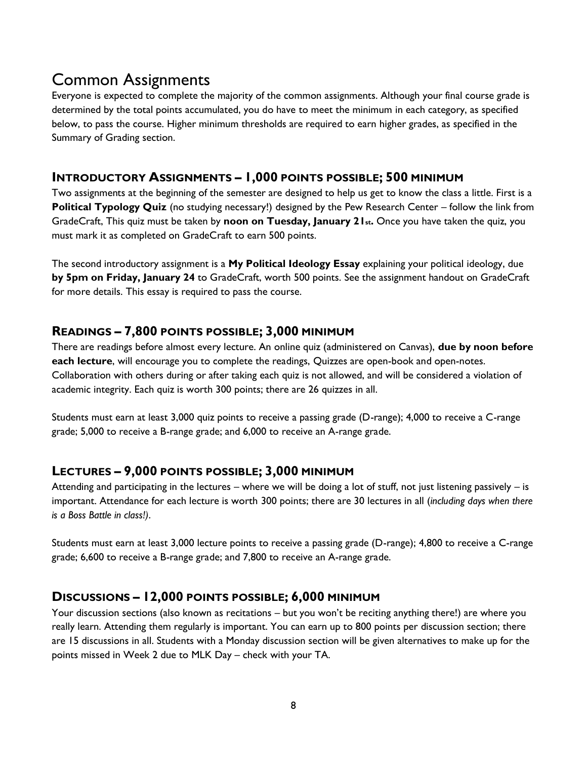## Common Assignments

Everyone is expected to complete the majority of the common assignments. Although your final course grade is determined by the total points accumulated, you do have to meet the minimum in each category, as specified below, to pass the course. Higher minimum thresholds are required to earn higher grades, as specified in the Summary of Grading section.

### **INTRODUCTORY ASSIGNMENTS – 1,000 POINTS POSSIBLE; 500 MINIMUM**

Two assignments at the beginning of the semester are designed to help us get to know the class a little. First is a **Political Typology Quiz** (no studying necessary!) designed by the Pew Research Center – follow the link from GradeCraft, This quiz must be taken by **noon on Tuesday, January 21st.** Once you have taken the quiz, you must mark it as completed on GradeCraft to earn 500 points.

The second introductory assignment is a **My Political Ideology Essay** explaining your political ideology, due **by 5pm on Friday, January 24** to GradeCraft, worth 500 points. See the assignment handout on GradeCraft for more details. This essay is required to pass the course.

### **READINGS – 7,800 POINTS POSSIBLE; 3,000 MINIMUM**

There are readings before almost every lecture. An online quiz (administered on Canvas), **due by noon before each lecture**, will encourage you to complete the readings, Quizzes are open-book and open-notes. Collaboration with others during or after taking each quiz is not allowed, and will be considered a violation of academic integrity. Each quiz is worth 300 points; there are 26 quizzes in all.

Students must earn at least 3,000 quiz points to receive a passing grade (D-range); 4,000 to receive a C-range grade; 5,000 to receive a B-range grade; and 6,000 to receive an A-range grade.

### **LECTURES – 9,000 POINTS POSSIBLE; 3,000 MINIMUM**

Attending and participating in the lectures – where we will be doing a lot of stuff, not just listening passively – is important. Attendance for each lecture is worth 300 points; there are 30 lectures in all (*including days when there is a Boss Battle in class!)*.

Students must earn at least 3,000 lecture points to receive a passing grade (D-range); 4,800 to receive a C-range grade; 6,600 to receive a B-range grade; and 7,800 to receive an A-range grade.

### **DISCUSSIONS – 12,000 POINTS POSSIBLE; 6,000 MINIMUM**

Your discussion sections (also known as recitations – but you won't be reciting anything there!) are where you really learn. Attending them regularly is important. You can earn up to 800 points per discussion section; there are 15 discussions in all. Students with a Monday discussion section will be given alternatives to make up for the points missed in Week 2 due to MLK Day – check with your TA.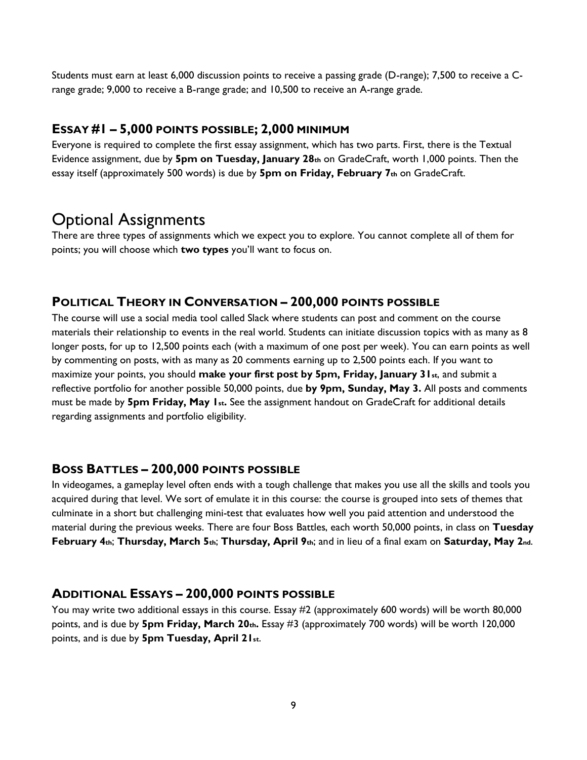Students must earn at least 6,000 discussion points to receive a passing grade (D-range); 7,500 to receive a Crange grade; 9,000 to receive a B-range grade; and 10,500 to receive an A-range grade.

### **ESSAY #1 – 5,000 POINTS POSSIBLE; 2,000 MINIMUM**

Everyone is required to complete the first essay assignment, which has two parts. First, there is the Textual Evidence assignment, due by **5pm on Tuesday, January 28th** on GradeCraft, worth 1,000 points. Then the essay itself (approximately 500 words) is due by **5pm on Friday, February 7th** on GradeCraft.

## Optional Assignments

There are three types of assignments which we expect you to explore. You cannot complete all of them for points; you will choose which **two types** you'll want to focus on.

### **POLITICAL THEORY IN CONVERSATION – 200,000 POINTS POSSIBLE**

The course will use a social media tool called Slack where students can post and comment on the course materials their relationship to events in the real world. Students can initiate discussion topics with as many as 8 longer posts, for up to 12,500 points each (with a maximum of one post per week). You can earn points as well by commenting on posts, with as many as 20 comments earning up to 2,500 points each. If you want to maximize your points, you should **make your first post by 5pm, Friday, January 31st**, and submit a reflective portfolio for another possible 50,000 points, due **by 9pm, Sunday, May 3.** All posts and comments must be made by **5pm Friday, May 1st.** See the assignment handout on GradeCraft for additional details regarding assignments and portfolio eligibility.

### **BOSS BATTLES – 200,000 POINTS POSSIBLE**

In videogames, a gameplay level often ends with a tough challenge that makes you use all the skills and tools you acquired during that level. We sort of emulate it in this course: the course is grouped into sets of themes that culminate in a short but challenging mini-test that evaluates how well you paid attention and understood the material during the previous weeks. There are four Boss Battles, each worth 50,000 points, in class on **Tuesday February 4th**; **Thursday, March 5th**; **Thursday, April 9th**; and in lieu of a final exam on **Saturday, May 2nd**.

### **ADDITIONAL ESSAYS – 200,000 POINTS POSSIBLE**

You may write two additional essays in this course. Essay #2 (approximately 600 words) will be worth 80,000 points, and is due by **5pm Friday, March 20th.** Essay #3 (approximately 700 words) will be worth 120,000 points, and is due by **5pm Tuesday, April 21st**.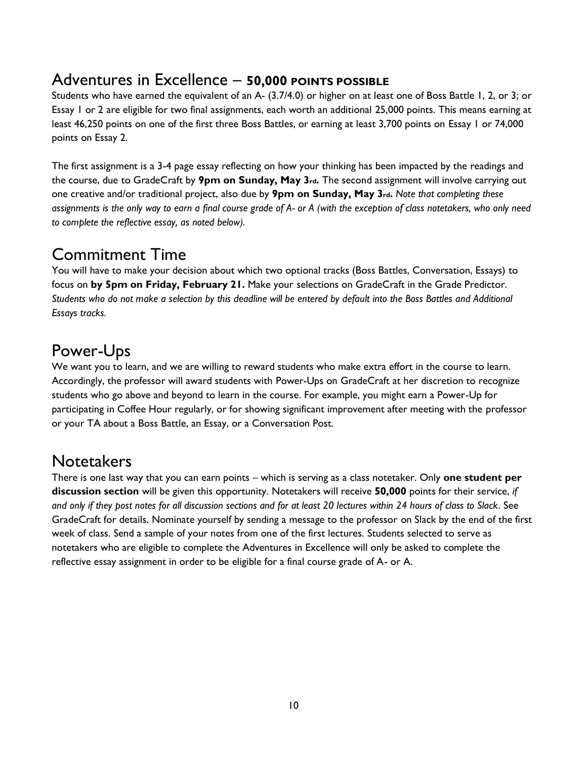## Adventures in Excellence – **50,000 POINTS POSSIBLE**

Students who have earned the equivalent of an A- (3.7/4.0) or higher on at least one of Boss Battle 1, 2, or 3; or Essay 1 or 2 are eligible for two final assignments, each worth an additional 25,000 points. This means earning at least 46,250 points on one of the first three Boss Battles, or earning at least 3,700 points on Essay 1 or 74,000 points on Essay 2.

The first assignment is a 3-4 page essay reflecting on how your thinking has been impacted by the readings and the course, due to GradeCraft by **9pm on Sunday, May 3rd.** The second assignment will involve carrying out one creative and/or traditional project, also due by **9pm on Sunday, May 3rd.** *Note that completing these assignments is the only way to earn a final course grade of A- or A (with the exception of class notetakers, who only need to complete the reflective essay, as noted below).*

## Commitment Time

You will have to make your decision about which two optional tracks (Boss Battles, Conversation, Essays) to focus on **by 5pm on Friday, February 21.** Make your selections on GradeCraft in the Grade Predictor. *Students who do not make a selection by this deadline will be entered by default into the Boss Battles and Additional Essays tracks.*

## Power-Ups

We want you to learn, and we are willing to reward students who make extra effort in the course to learn. Accordingly, the professor will award students with Power-Ups on GradeCraft at her discretion to recognize students who go above and beyond to learn in the course. For example, you might earn a Power-Up for participating in Coffee Hour regularly, or for showing significant improvement after meeting with the professor or your TA about a Boss Battle, an Essay, or a Conversation Post.

## **Notetakers**

There is one last way that you can earn points – which is serving as a class notetaker. Only **one student per discussion section** will be given this opportunity. Notetakers will receive **50,000** points for their service, *if and only if they post notes for all discussion sections and for at least 20 lectures within 24 hours of class to Slack*. See GradeCraft for details. Nominate yourself by sending a message to the professor on Slack by the end of the first week of class. Send a sample of your notes from one of the first lectures. Students selected to serve as notetakers who are eligible to complete the Adventures in Excellence will only be asked to complete the reflective essay assignment in order to be eligible for a final course grade of A- or A.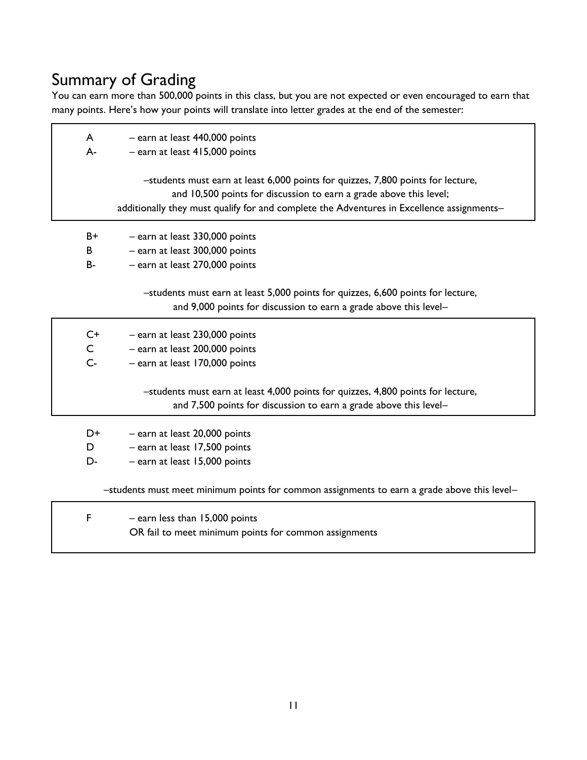# Summary of Grading

You can earn more than 500,000 points in this class, but you are not expected or even encouraged to earn that many points. Here's how your points will translate into letter grades at the end of the semester:

| $\mathsf{A}$<br>$A -$ | - earn at least 440,000 points<br>$-$ earn at least 415,000 points                                                                                                                                                                                  |
|-----------------------|-----------------------------------------------------------------------------------------------------------------------------------------------------------------------------------------------------------------------------------------------------|
|                       | -students must earn at least 6,000 points for quizzes, 7,800 points for lecture,<br>and 10,500 points for discussion to earn a grade above this level;<br>additionally they must qualify for and complete the Adventures in Excellence assignments- |
| B+                    | $-$ earn at least 330,000 points                                                                                                                                                                                                                    |

- B earn at least 300,000 points
- B- earn at least 270,000 points

–students must earn at least 5,000 points for quizzes, 6,600 points for lecture, and 9,000 points for discussion to earn a grade above this level–

| C+    | - earn at least 230,000 points                                                                                                                        |
|-------|-------------------------------------------------------------------------------------------------------------------------------------------------------|
| C     | - earn at least 200,000 points                                                                                                                        |
| $C -$ | - earn at least 170,000 points                                                                                                                        |
|       | -students must earn at least 4,000 points for quizzes, 4,800 points for lecture,<br>and 7,500 points for discussion to earn a grade above this level- |
|       |                                                                                                                                                       |

| - earn at least 20,000 points<br>D+ |  |  |  |
|-------------------------------------|--|--|--|
|-------------------------------------|--|--|--|

- D earn at least 17,500 points
- D- earn at least 15,000 points

–students must meet minimum points for common assignments to earn a grade above this level–

| $-$ earn less than 15,000 points                      |  |
|-------------------------------------------------------|--|
| OR fail to meet minimum points for common assignments |  |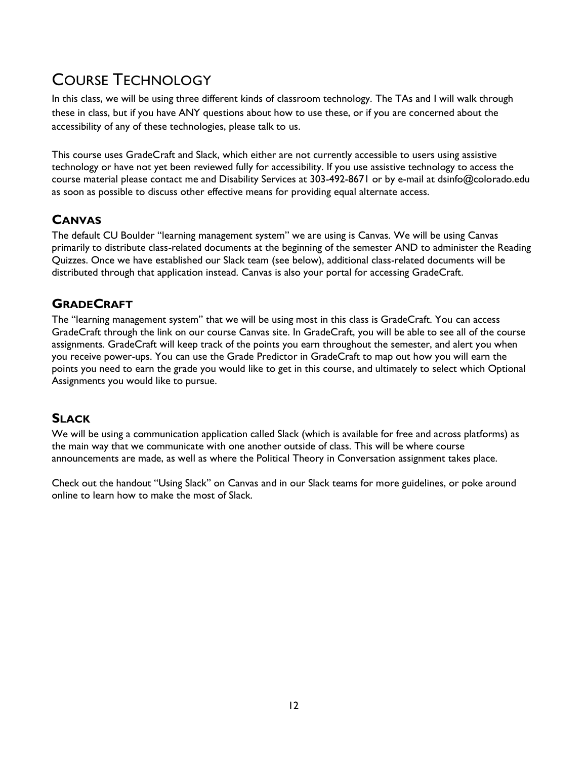# COURSE TECHNOLOGY

In this class, we will be using three different kinds of classroom technology. The TAs and I will walk through these in class, but if you have ANY questions about how to use these, or if you are concerned about the accessibility of any of these technologies, please talk to us.

This course uses GradeCraft and Slack, which either are not currently accessible to users using assistive technology or have not yet been reviewed fully for accessibility. If you use assistive technology to access the course material please contact me and Disability Services at 303-492-8671 or by e-mail at dsinfo@colorado.edu as soon as possible to discuss other effective means for providing equal alternate access.

### **CANVAS**

The default CU Boulder "learning management system" we are using is Canvas. We will be using Canvas primarily to distribute class-related documents at the beginning of the semester AND to administer the Reading Quizzes. Once we have established our Slack team (see below), additional class-related documents will be distributed through that application instead. Canvas is also your portal for accessing GradeCraft.

### **GRADECRAFT**

The "learning management system" that we will be using most in this class is GradeCraft. You can access GradeCraft through the link on our course Canvas site. In GradeCraft, you will be able to see all of the course assignments. GradeCraft will keep track of the points you earn throughout the semester, and alert you when you receive power-ups. You can use the Grade Predictor in GradeCraft to map out how you will earn the points you need to earn the grade you would like to get in this course, and ultimately to select which Optional Assignments you would like to pursue.

### **SLACK**

We will be using a communication application called Slack (which is available for free and across platforms) as the main way that we communicate with one another outside of class. This will be where course announcements are made, as well as where the Political Theory in Conversation assignment takes place.

Check out the handout "Using Slack" on Canvas and in our Slack teams for more guidelines, or poke around online to learn how to make the most of Slack.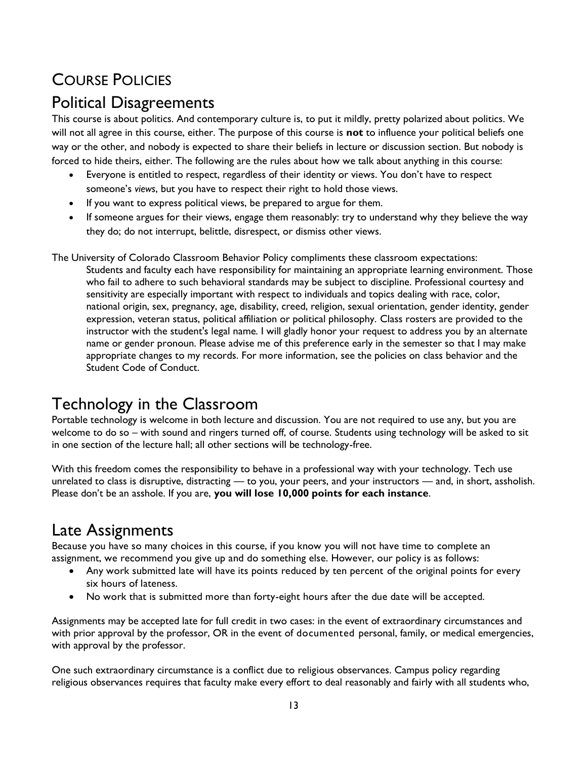# COURSE POLICIES

## Political Disagreements

This course is about politics. And contemporary culture is, to put it mildly, pretty polarized about politics. We will not all agree in this course, either. The purpose of this course is **not** to influence your political beliefs one way or the other, and nobody is expected to share their beliefs in lecture or discussion section. But nobody is forced to hide theirs, either. The following are the rules about how we talk about anything in this course:

- Everyone is entitled to respect, regardless of their identity or views. You don't have to respect someone's *views*, but you have to respect their right to hold those views.
- If you want to express political views, be prepared to argue for them.
- If someone argues for their views, engage them reasonably: try to understand why they believe the way they do; do not interrupt, belittle, disrespect, or dismiss other views.

The University of Colorado Classroom Behavior Policy compliments these classroom expectations: Students and faculty each have responsibility for maintaining an appropriate learning environment. Those who fail to adhere to such behavioral standards may be subject to discipline. Professional courtesy and sensitivity are especially important with respect to individuals and topics dealing with race, color, national origin, sex, pregnancy, age, disability, creed, religion, sexual orientation, gender identity, gender expression, veteran status, political affiliation or political philosophy. Class rosters are provided to the instructor with the student's legal name. I will gladly honor your request to address you by an alternate name or gender pronoun. Please advise me of this preference early in the semester so that I may make appropriate changes to my records. For more information, see the policies on class behavior and the Student Code of Conduct.

# Technology in the Classroom

Portable technology is welcome in both lecture and discussion. You are not required to use any, but you are welcome to do so – with sound and ringers turned off, of course. Students using technology will be asked to sit in one section of the lecture hall; all other sections will be technology-free.

With this freedom comes the responsibility to behave in a professional way with your technology. Tech use unrelated to class is disruptive, distracting — to you, your peers, and your instructors — and, in short, assholish. Please don't be an asshole. If you are, **you will lose 10,000 points for each instance**.

# Late Assignments

Because you have so many choices in this course, if you know you will not have time to complete an assignment, we recommend you give up and do something else. However, our policy is as follows:

- Any work submitted late will have its points reduced by ten percent of the original points for every six hours of lateness.
- No work that is submitted more than forty-eight hours after the due date will be accepted.

Assignments may be accepted late for full credit in two cases: in the event of extraordinary circumstances and with prior approval by the professor, OR in the event of documented personal, family, or medical emergencies, with approval by the professor.

One such extraordinary circumstance is a conflict due to religious observances. Campus policy regarding religious observances requires that faculty make every effort to deal reasonably and fairly with all students who,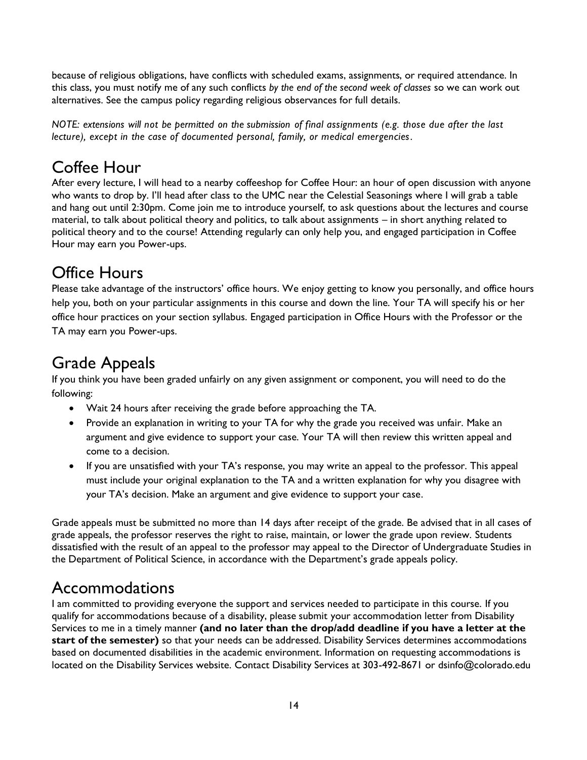because of religious obligations, have conflicts with scheduled exams, assignments, or required attendance. In this class, you must notify me of any such conflicts *by the end of the second week of classes* so we can work out alternatives. See the campus policy regarding religious observances for full details.

*NOTE: extensions will not be permitted on the submission of final assignments (e.g. those due after the last lecture), except in the case of documented personal, family, or medical emergencies.*

## Coffee Hour

After every lecture, I will head to a nearby coffeeshop for Coffee Hour: an hour of open discussion with anyone who wants to drop by. I'll head after class to the UMC near the Celestial Seasonings where I will grab a table and hang out until 2:30pm. Come join me to introduce yourself, to ask questions about the lectures and course material, to talk about political theory and politics, to talk about assignments – in short anything related to political theory and to the course! Attending regularly can only help you, and engaged participation in Coffee Hour may earn you Power-ups.

# Office Hours

Please take advantage of the instructors' office hours. We enjoy getting to know you personally, and office hours help you, both on your particular assignments in this course and down the line. Your TA will specify his or her office hour practices on your section syllabus. Engaged participation in Office Hours with the Professor or the TA may earn you Power-ups.

## Grade Appeals

If you think you have been graded unfairly on any given assignment or component, you will need to do the following:

- Wait 24 hours after receiving the grade before approaching the TA.
- Provide an explanation in writing to your TA for why the grade you received was unfair. Make an argument and give evidence to support your case. Your TA will then review this written appeal and come to a decision.
- If you are unsatisfied with your TA's response, you may write an appeal to the professor. This appeal must include your original explanation to the TA and a written explanation for why you disagree with your TA's decision. Make an argument and give evidence to support your case.

Grade appeals must be submitted no more than 14 days after receipt of the grade. Be advised that in all cases of grade appeals, the professor reserves the right to raise, maintain, or lower the grade upon review. Students dissatisfied with the result of an appeal to the professor may appeal to the Director of Undergraduate Studies in the Department of Political Science, in accordance with the Department's grade appeals policy.

## Accommodations

I am committed to providing everyone the support and services needed to participate in this course. If you qualify for accommodations because of a disability, please submit your accommodation letter from Disability Services to me in a timely manner **(and no later than the drop/add deadline if you have a letter at the start of the semester)** so that your needs can be addressed. Disability Services determines accommodations based on documented disabilities in the academic environment. Information on requesting accommodations is located on the Disability Services website. Contact Disability Services at 303-492-8671 or dsinfo@colorado.edu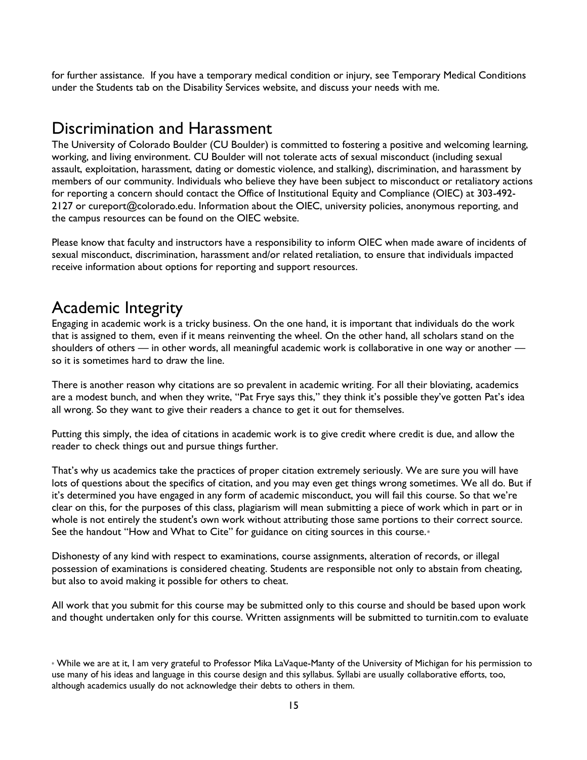for further assistance. If you have a temporary medical condition or injury, see Temporary Medical Conditions under the Students tab on the Disability Services website, and discuss your needs with me.

### Discrimination and Harassment

The University of Colorado Boulder (CU Boulder) is committed to fostering a positive and welcoming learning, working, and living environment. CU Boulder will not tolerate acts of sexual misconduct (including sexual assault, exploitation, harassment, dating or domestic violence, and stalking), discrimination, and harassment by members of our community. Individuals who believe they have been subject to misconduct or retaliatory actions for reporting a concern should contact the Office of Institutional Equity and Compliance (OIEC) at 303-492- 2127 or cureport@colorado.edu. Information about the OIEC, university policies, anonymous reporting, and the campus resources can be found on the OIEC website.

Please know that faculty and instructors have a responsibility to inform OIEC when made aware of incidents of sexual misconduct, discrimination, harassment and/or related retaliation, to ensure that individuals impacted receive information about options for reporting and support resources.

### Academic Integrity

Engaging in academic work is a tricky business. On the one hand, it is important that individuals do the work that is assigned to them, even if it means reinventing the wheel. On the other hand, all scholars stand on the shoulders of others — in other words, all meaningful academic work is collaborative in one way or another so it is sometimes hard to draw the line.

There is another reason why citations are so prevalent in academic writing. For all their bloviating, academics are a modest bunch, and when they write, "Pat Frye says this," they think it's possible they've gotten Pat's idea all wrong. So they want to give their readers a chance to get it out for themselves.

Putting this simply, the idea of citations in academic work is to give credit where credit is due, and allow the reader to check things out and pursue things further.

That's why us academics take the practices of proper citation extremely seriously. We are sure you will have lots of questions about the specifics of citation, and you may even get things wrong sometimes. We all do. But if it's determined you have engaged in any form of academic misconduct, you will fail this course. So that we're clear on this, for the purposes of this class, plagiarism will mean submitting a piece of work which in part or in whole is not entirely the student's own work without attributing those same portions to their correct source. See the handout "How and What to Cite" for guidance on citing sources in this course.\*

Dishonesty of any kind with respect to examinations, course assignments, alteration of records, or illegal possession of examinations is considered cheating. Students are responsible not only to abstain from cheating, but also to avoid making it possible for others to cheat.

All work that you submit for this course may be submitted only to this course and should be based upon work and thought undertaken only for this course. Written assignments will be submitted to turnitin.com to evaluate

<sup>\*</sup> While we are at it, I am very grateful to Professor Mika LaVaque-Manty of the University of Michigan for his permission to use many of his ideas and language in this course design and this syllabus. Syllabi are usually collaborative efforts, too, although academics usually do not acknowledge their debts to others in them.